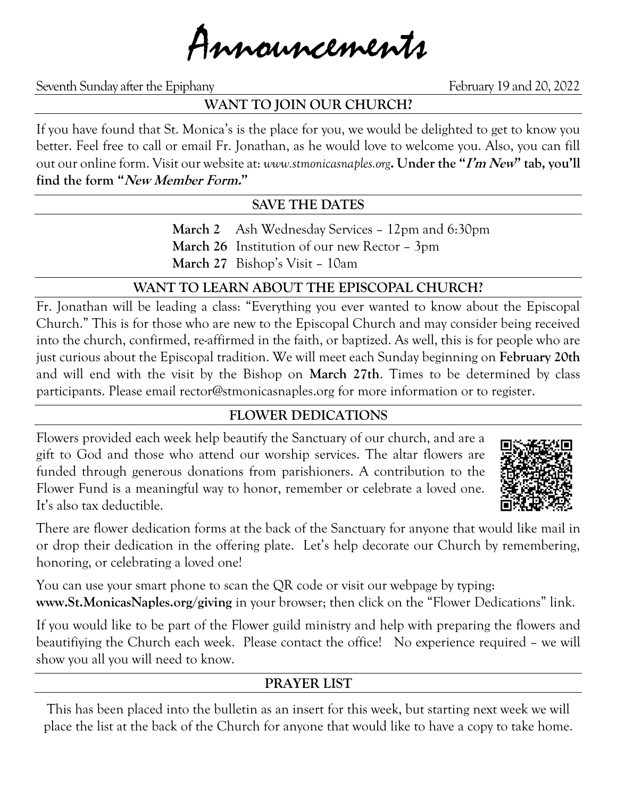Announcements

Seventh Sunday after the Epiphany February 19 and 20, 2022

# **WANT TO JOIN OUR CHURCH?**

If you have found that St. Monica's is the place for you, we would be delighted to get to know you better. Feel free to call or email Fr. Jonathan, as he would love to welcome you. Also, you can fill out our online form. Visit our website at: *www.stmonicasnaples.org***. Under the "I'm New" tab, you'll find the form "New Member Form."**

## **SAVE THE DATES**

**March 2** Ash Wednesday Services – 12pm and 6:30pm **March 26** Institution of our new Rector – 3pm **March 27** Bishop's Visit – 10am

# **WANT TO LEARN ABOUT THE EPISCOPAL CHURCH?**

Fr. Jonathan will be leading a class: "Everything you ever wanted to know about the Episcopal Church." This is for those who are new to the Episcopal Church and may consider being received into the church, confirmed, re-affirmed in the faith, or baptized. As well, this is for people who are just curious about the Episcopal tradition. We will meet each Sunday beginning on **February 20th** and will end with the visit by the Bishop on **March 27th**. Times to be determined by class participants. Please email rector@stmonicasnaples.org for more information or to register.

## **FLOWER DEDICATIONS**

Flowers provided each week help beautify the Sanctuary of our church, and are a gift to God and those who attend our worship services. The altar flowers are funded through generous donations from parishioners. A contribution to the Flower Fund is a meaningful way to honor, remember or celebrate a loved one. It's also tax deductible.



There are flower dedication forms at the back of the Sanctuary for anyone that would like mail in or drop their dedication in the offering plate. Let's help decorate our Church by remembering, honoring, or celebrating a loved one!

You can use your smart phone to scan the QR code or visit our webpage by typing: **www.St.MonicasNaples.org/giving** in your browser; then click on the "Flower Dedications" link.

If you would like to be part of the Flower guild ministry and help with preparing the flowers and beautifiying the Church each week. Please contact the office! No experience required – we will show you all you will need to know.

# **PRAYER LIST**

This has been placed into the bulletin as an insert for this week, but starting next week we will place the list at the back of the Church for anyone that would like to have a copy to take home.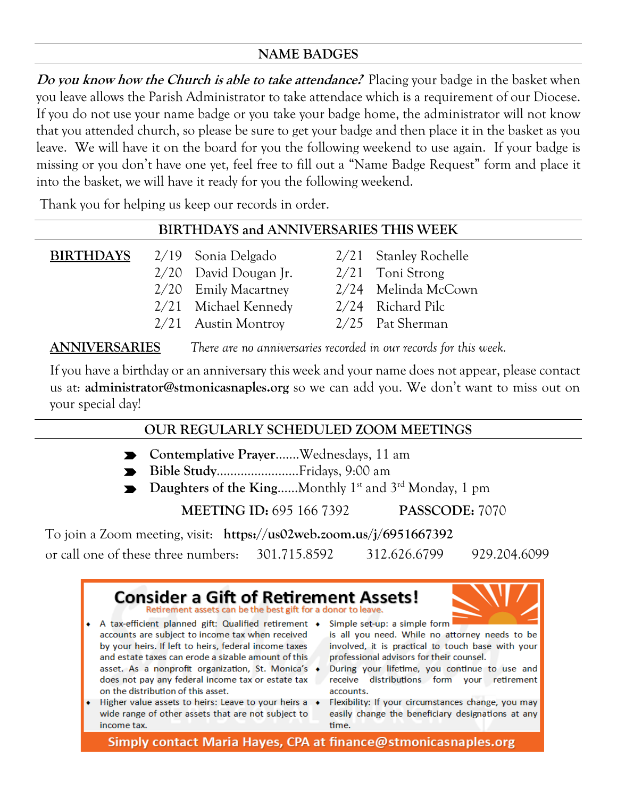## **NAME BADGES**

**Do you know how the Church is able to take attendance?** Placing your badge in the basket when you leave allows the Parish Administrator to take attendace which is a requirement of our Diocese. If you do not use your name badge or you take your badge home, the administrator will not know that you attended church, so please be sure to get your badge and then place it in the basket as you leave. We will have it on the board for you the following weekend to use again. If your badge is missing or you don't have one yet, feel free to fill out a "Name Badge Request" form and place it into the basket, we will have it ready for you the following weekend.

Thank you for helping us keep our records in order.

## **BIRTHDAYS and ANNIVERSARIES THIS WEEK**

| BIRTHDAYS | 2/19 Sonia Delgado      | 2/21 Stanley Rochelle |
|-----------|-------------------------|-----------------------|
|           | $2/20$ David Dougan Jr. | $2/21$ Toni Strong    |
|           | 2/20 Emily Macartney    | 2/24 Melinda McCown   |
|           | 2/21 Michael Kennedy    | 2/24 Richard Pilc     |
|           | $2/21$ Austin Montroy   | 2/25 Pat Sherman      |

**ANNIVERSARIES** *There are no anniversaries recorded in our records for this week.*

If you have a birthday or an anniversary this week and your name does not appear, please contact us at: **administrator@stmonicasnaples.org** so we can add you. We don't want to miss out on your special day!

## **OUR REGULARLY SCHEDULED ZOOM MEETINGS**

- **Contemplative Prayer**…….Wednesdays, 11 am
- **Bible Study**……………………Fridays, 9:00 am
- Daughters of the King......Monthly 1<sup>st</sup> and 3<sup>rd</sup> Monday, 1 pm

**MEETING ID:** 695 166 7392 **PASSCODE:** 7070

To join a Zoom meeting, visit: **https://us02web.zoom.us/j/6951667392**

or call one of these three numbers: 301.715.8592 312.626.6799 929.204.6099



Simply contact Maria Hayes, CPA at finance@stmonicasnaples.org